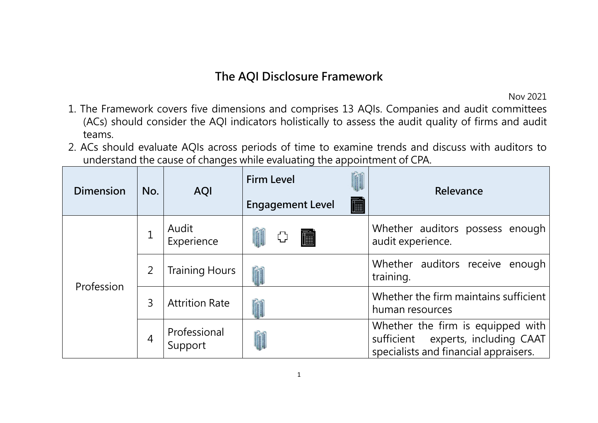## **The AQI Disclosure Framework**

Nov 2021

- 1. The Framework covers five dimensions and comprises 13 AQIs. Companies and audit committees (ACs) should consider the AQI indicators holistically to assess the audit quality of firms and audit teams.
- 2. ACs should evaluate AQIs across periods of time to examine trends and discuss with auditors to understand the cause of changes while evaluating the appointment of CPA.

| <b>Dimension</b> | No. | <b>AQI</b>              | <b>Firm Level</b>       |   | Relevance                                                                                                           |
|------------------|-----|-------------------------|-------------------------|---|---------------------------------------------------------------------------------------------------------------------|
|                  |     |                         | <b>Engagement Level</b> | 匾 |                                                                                                                     |
| Profession       |     | Audit<br>Experience     | 匾                       |   | Whether auditors possess enough<br>audit experience.                                                                |
|                  | 2   | <b>Training Hours</b>   |                         |   | Whether auditors receive enough<br>training.                                                                        |
|                  | 3   | <b>Attrition Rate</b>   |                         |   | Whether the firm maintains sufficient<br>human resources                                                            |
|                  | 4   | Professional<br>Support |                         |   | Whether the firm is equipped with<br>experts, including CAAT<br>sufficient<br>specialists and financial appraisers. |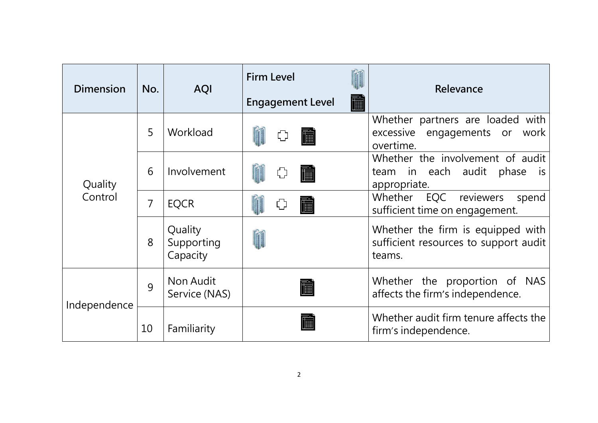| <b>Dimension</b>   | No. | <b>AQI</b>                        | <b>Firm Level</b><br><b>Engagement Level</b><br>III | Relevance                                                                                    |
|--------------------|-----|-----------------------------------|-----------------------------------------------------|----------------------------------------------------------------------------------------------|
| Quality<br>Control | 5   | Workload                          |                                                     | Whether partners are loaded with<br>excessive engagements or<br>work<br>overtime.            |
|                    | 6   | Involvement                       |                                                     | Whether the involvement of audit<br>team in each audit<br>phase<br><b>IS</b><br>appropriate. |
|                    | 7   | <b>EQCR</b>                       |                                                     | EQC reviewers<br>Whether<br>spend<br>sufficient time on engagement.                          |
|                    | 8   | Quality<br>Supporting<br>Capacity |                                                     | Whether the firm is equipped with<br>sufficient resources to support audit<br>teams.         |
| Independence       | 9   | Non Audit<br>Service (NAS)        |                                                     | Whether the proportion of NAS<br>affects the firm's independence.                            |
|                    | 10  | Familiarity                       |                                                     | Whether audit firm tenure affects the<br>firm's independence.                                |